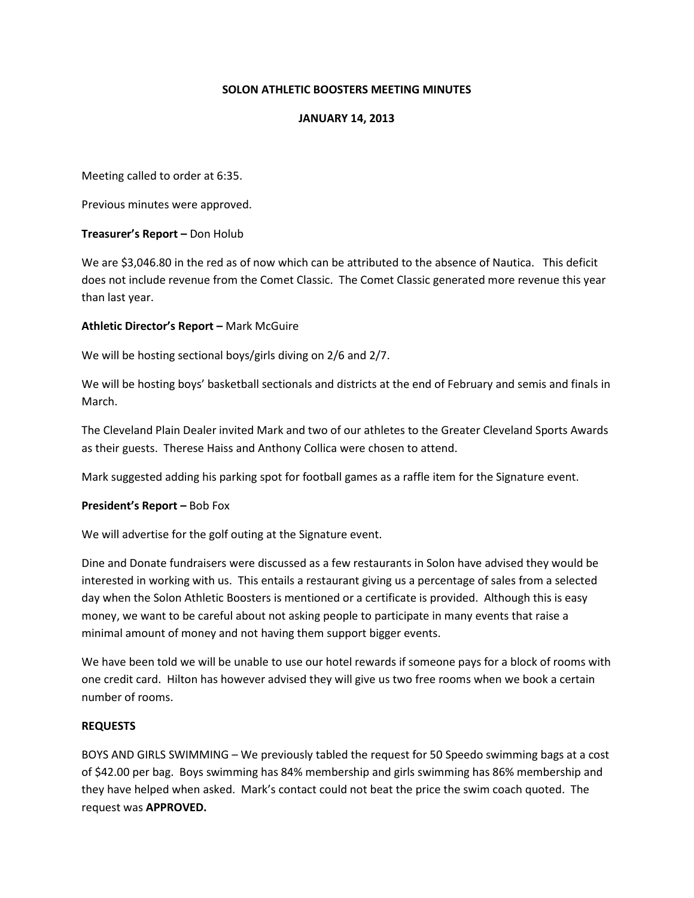## SOLON ATHLETIC BOOSTERS MEETING MINUTES

#### JANUARY 14, 2013

Meeting called to order at 6:35.

Previous minutes were approved.

#### Treasurer's Report – Don Holub

We are \$3,046.80 in the red as of now which can be attributed to the absence of Nautica. This deficit does not include revenue from the Comet Classic. The Comet Classic generated more revenue this year than last year.

#### Athletic Director's Report – Mark McGuire

We will be hosting sectional boys/girls diving on 2/6 and 2/7.

We will be hosting boys' basketball sectionals and districts at the end of February and semis and finals in March.

The Cleveland Plain Dealer invited Mark and two of our athletes to the Greater Cleveland Sports Awards as their guests. Therese Haiss and Anthony Collica were chosen to attend.

Mark suggested adding his parking spot for football games as a raffle item for the Signature event.

#### President's Report – Bob Fox

We will advertise for the golf outing at the Signature event.

Dine and Donate fundraisers were discussed as a few restaurants in Solon have advised they would be interested in working with us. This entails a restaurant giving us a percentage of sales from a selected day when the Solon Athletic Boosters is mentioned or a certificate is provided. Although this is easy money, we want to be careful about not asking people to participate in many events that raise a minimal amount of money and not having them support bigger events.

We have been told we will be unable to use our hotel rewards if someone pays for a block of rooms with one credit card. Hilton has however advised they will give us two free rooms when we book a certain number of rooms.

#### REQUESTS

BOYS AND GIRLS SWIMMING – We previously tabled the request for 50 Speedo swimming bags at a cost of \$42.00 per bag. Boys swimming has 84% membership and girls swimming has 86% membership and they have helped when asked. Mark's contact could not beat the price the swim coach quoted. The request was APPROVED.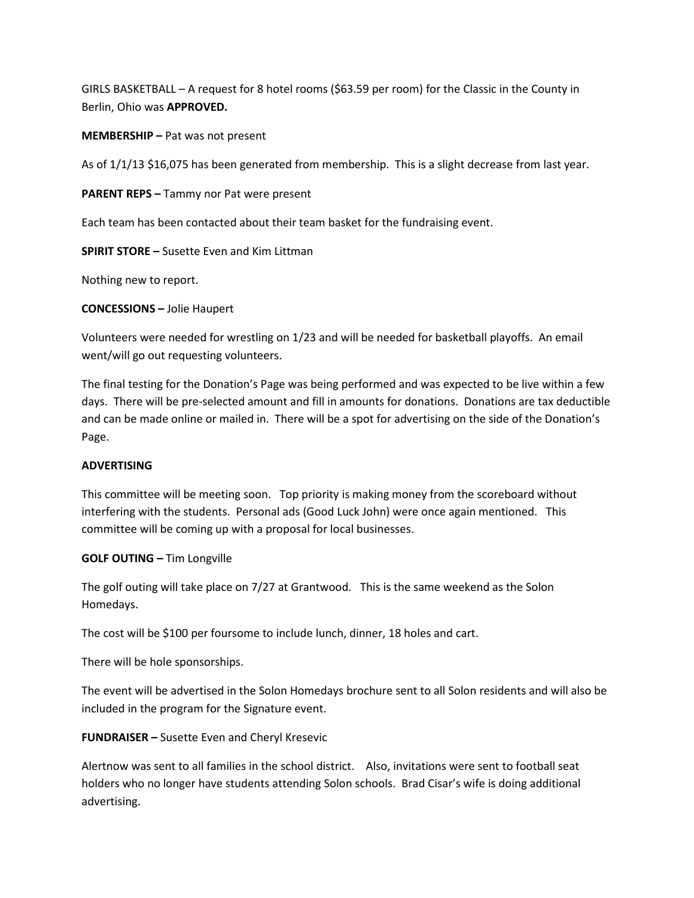GIRLS BASKETBALL – A request for 8 hotel rooms (\$63.59 per room) for the Classic in the County in Berlin, Ohio was APPROVED.

MEMBERSHIP – Pat was not present

As of 1/1/13 \$16,075 has been generated from membership. This is a slight decrease from last year.

PARENT REPS – Tammy nor Pat were present

Each team has been contacted about their team basket for the fundraising event.

SPIRIT STORE – Susette Even and Kim Littman

Nothing new to report.

CONCESSIONS – Jolie Haupert

Volunteers were needed for wrestling on 1/23 and will be needed for basketball playoffs. An email went/will go out requesting volunteers.

The final testing for the Donation's Page was being performed and was expected to be live within a few days. There will be pre-selected amount and fill in amounts for donations. Donations are tax deductible and can be made online or mailed in. There will be a spot for advertising on the side of the Donation's Page.

## ADVERTISING

This committee will be meeting soon. Top priority is making money from the scoreboard without interfering with the students. Personal ads (Good Luck John) were once again mentioned. This committee will be coming up with a proposal for local businesses.

## GOLF OUTING – Tim Longville

The golf outing will take place on 7/27 at Grantwood. This is the same weekend as the Solon Homedays.

The cost will be \$100 per foursome to include lunch, dinner, 18 holes and cart.

There will be hole sponsorships.

The event will be advertised in the Solon Homedays brochure sent to all Solon residents and will also be included in the program for the Signature event.

## FUNDRAISER – Susette Even and Cheryl Kresevic

Alertnow was sent to all families in the school district. Also, invitations were sent to football seat holders who no longer have students attending Solon schools. Brad Cisar's wife is doing additional advertising.